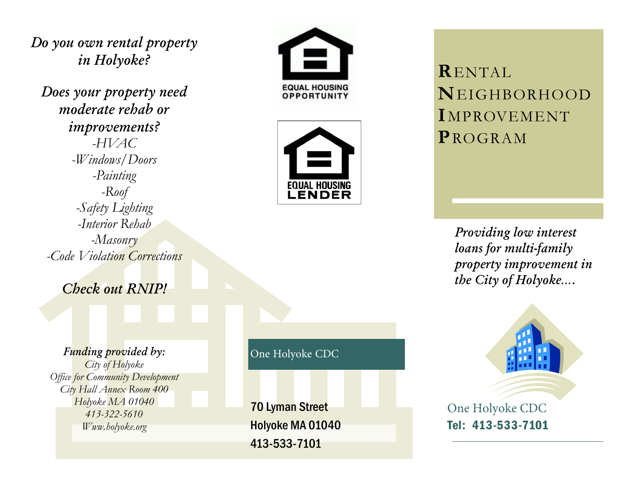Do you own rental property in Holyoke?

Does your property need moderate rebab or *improvements?*  $-HVAC$ -Windows/Doors -Painting  $-Roof$ -Safety Lighting -Interior Rehab -Masonry -Code Violation Corrections

Check out RNIP!

Funding provided by: City of Holyoke **Office for Community Development** City Hall Annex Room 400 Holyoke MA 01040 413-322-5610 Www.holyoke.org





**RENTAL** NEIGHBORHOOD IMPROVEMENT PROGRAM

> Providing low interest loans for multi-family property improvement in the City of Holyoke....



Tel: 413-533-7101

One Holyoke CDC

**70 Lyman Street** Holyoke MA 01040 413-533-7101